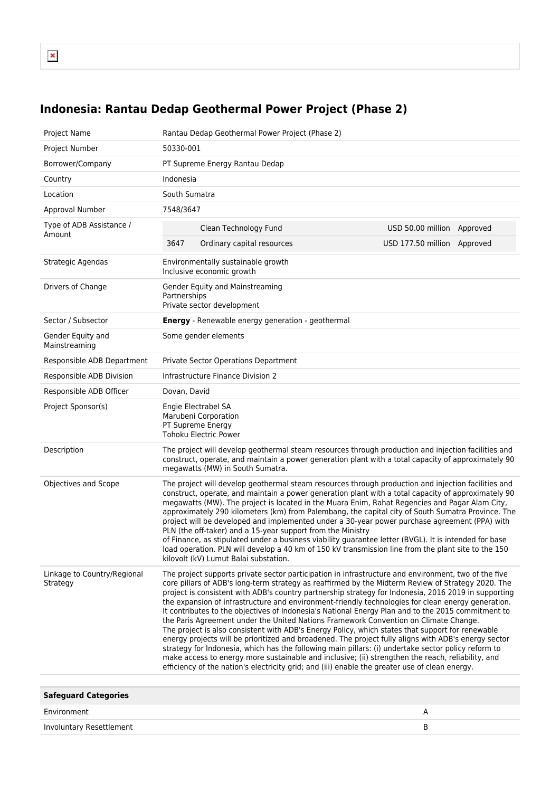## **Indonesia: Rantau Dedap Geothermal Power Project (Phase 2)**

| Project Name                            | Rantau Dedap Geothermal Power Project (Phase 2)                                                                                                                                                                                                                                                                                                                                                                                                                                                                                                                                                                                                                                                                                                                                                                                                                                                                                                                                                                                                                                                                                                  |                               |  |
|-----------------------------------------|--------------------------------------------------------------------------------------------------------------------------------------------------------------------------------------------------------------------------------------------------------------------------------------------------------------------------------------------------------------------------------------------------------------------------------------------------------------------------------------------------------------------------------------------------------------------------------------------------------------------------------------------------------------------------------------------------------------------------------------------------------------------------------------------------------------------------------------------------------------------------------------------------------------------------------------------------------------------------------------------------------------------------------------------------------------------------------------------------------------------------------------------------|-------------------------------|--|
| Project Number                          | 50330-001                                                                                                                                                                                                                                                                                                                                                                                                                                                                                                                                                                                                                                                                                                                                                                                                                                                                                                                                                                                                                                                                                                                                        |                               |  |
| Borrower/Company                        | PT Supreme Energy Rantau Dedap                                                                                                                                                                                                                                                                                                                                                                                                                                                                                                                                                                                                                                                                                                                                                                                                                                                                                                                                                                                                                                                                                                                   |                               |  |
| Country                                 | Indonesia                                                                                                                                                                                                                                                                                                                                                                                                                                                                                                                                                                                                                                                                                                                                                                                                                                                                                                                                                                                                                                                                                                                                        |                               |  |
| Location                                | South Sumatra                                                                                                                                                                                                                                                                                                                                                                                                                                                                                                                                                                                                                                                                                                                                                                                                                                                                                                                                                                                                                                                                                                                                    |                               |  |
| Approval Number                         | 7548/3647                                                                                                                                                                                                                                                                                                                                                                                                                                                                                                                                                                                                                                                                                                                                                                                                                                                                                                                                                                                                                                                                                                                                        |                               |  |
| Type of ADB Assistance /<br>Amount      | Clean Technology Fund                                                                                                                                                                                                                                                                                                                                                                                                                                                                                                                                                                                                                                                                                                                                                                                                                                                                                                                                                                                                                                                                                                                            | USD 50.00 million<br>Approved |  |
|                                         | 3647<br>Ordinary capital resources                                                                                                                                                                                                                                                                                                                                                                                                                                                                                                                                                                                                                                                                                                                                                                                                                                                                                                                                                                                                                                                                                                               | USD 177.50 million Approved   |  |
| Strategic Agendas                       | Environmentally sustainable growth<br>Inclusive economic growth                                                                                                                                                                                                                                                                                                                                                                                                                                                                                                                                                                                                                                                                                                                                                                                                                                                                                                                                                                                                                                                                                  |                               |  |
| Drivers of Change                       | Gender Equity and Mainstreaming<br>Partnerships<br>Private sector development                                                                                                                                                                                                                                                                                                                                                                                                                                                                                                                                                                                                                                                                                                                                                                                                                                                                                                                                                                                                                                                                    |                               |  |
| Sector / Subsector                      | <b>Energy</b> - Renewable energy generation - geothermal                                                                                                                                                                                                                                                                                                                                                                                                                                                                                                                                                                                                                                                                                                                                                                                                                                                                                                                                                                                                                                                                                         |                               |  |
| Gender Equity and<br>Mainstreaming      | Some gender elements                                                                                                                                                                                                                                                                                                                                                                                                                                                                                                                                                                                                                                                                                                                                                                                                                                                                                                                                                                                                                                                                                                                             |                               |  |
| Responsible ADB Department              | Private Sector Operations Department                                                                                                                                                                                                                                                                                                                                                                                                                                                                                                                                                                                                                                                                                                                                                                                                                                                                                                                                                                                                                                                                                                             |                               |  |
| Responsible ADB Division                | Infrastructure Finance Division 2                                                                                                                                                                                                                                                                                                                                                                                                                                                                                                                                                                                                                                                                                                                                                                                                                                                                                                                                                                                                                                                                                                                |                               |  |
| Responsible ADB Officer                 | Dovan, David                                                                                                                                                                                                                                                                                                                                                                                                                                                                                                                                                                                                                                                                                                                                                                                                                                                                                                                                                                                                                                                                                                                                     |                               |  |
| Project Sponsor(s)                      | Engie Electrabel SA<br>Marubeni Corporation<br>PT Supreme Energy<br>Tohoku Electric Power                                                                                                                                                                                                                                                                                                                                                                                                                                                                                                                                                                                                                                                                                                                                                                                                                                                                                                                                                                                                                                                        |                               |  |
| Description                             | The project will develop geothermal steam resources through production and injection facilities and<br>construct, operate, and maintain a power generation plant with a total capacity of approximately 90<br>megawatts (MW) in South Sumatra.                                                                                                                                                                                                                                                                                                                                                                                                                                                                                                                                                                                                                                                                                                                                                                                                                                                                                                   |                               |  |
| Objectives and Scope                    | The project will develop geothermal steam resources through production and injection facilities and<br>construct, operate, and maintain a power generation plant with a total capacity of approximately 90<br>megawatts (MW). The project is located in the Muara Enim, Rahat Regencies and Pagar Alam City,<br>approximately 290 kilometers (km) from Palembang, the capital city of South Sumatra Province. The<br>project will be developed and implemented under a 30-year power purchase agreement (PPA) with<br>PLN (the off-taker) and a 15-year support from the Ministry<br>of Finance, as stipulated under a business viability guarantee letter (BVGL). It is intended for base<br>load operation. PLN will develop a 40 km of 150 kV transmission line from the plant site to the 150<br>kilovolt (kV) Lumut Balai substation.                                                                                                                                                                                                                                                                                                       |                               |  |
| Linkage to Country/Regional<br>Strategy | The project supports private sector participation in infrastructure and environment, two of the five<br>core pillars of ADB's long-term strategy as reaffirmed by the Midterm Review of Strategy 2020. The<br>project is consistent with ADB's country partnership strategy for Indonesia, 2016 2019 in supporting<br>the expansion of infrastructure and environment-friendly technologies for clean energy generation.<br>It contributes to the objectives of Indonesia's National Energy Plan and to the 2015 commitment to<br>the Paris Agreement under the United Nations Framework Convention on Climate Change.<br>The project is also consistent with ADB's Energy Policy, which states that support for renewable<br>energy projects will be prioritized and broadened. The project fully aligns with ADB's energy sector<br>strategy for Indonesia, which has the following main pillars: (i) undertake sector policy reform to<br>make access to energy more sustainable and inclusive; (ii) strengthen the reach, reliability, and<br>efficiency of the nation's electricity grid; and (iii) enable the greater use of clean energy. |                               |  |
| <b>Safeguard Categories</b>             |                                                                                                                                                                                                                                                                                                                                                                                                                                                                                                                                                                                                                                                                                                                                                                                                                                                                                                                                                                                                                                                                                                                                                  |                               |  |

| 94.9944.494.991.89       |  |  |
|--------------------------|--|--|
| Environment              |  |  |
| Involuntary Resettlement |  |  |